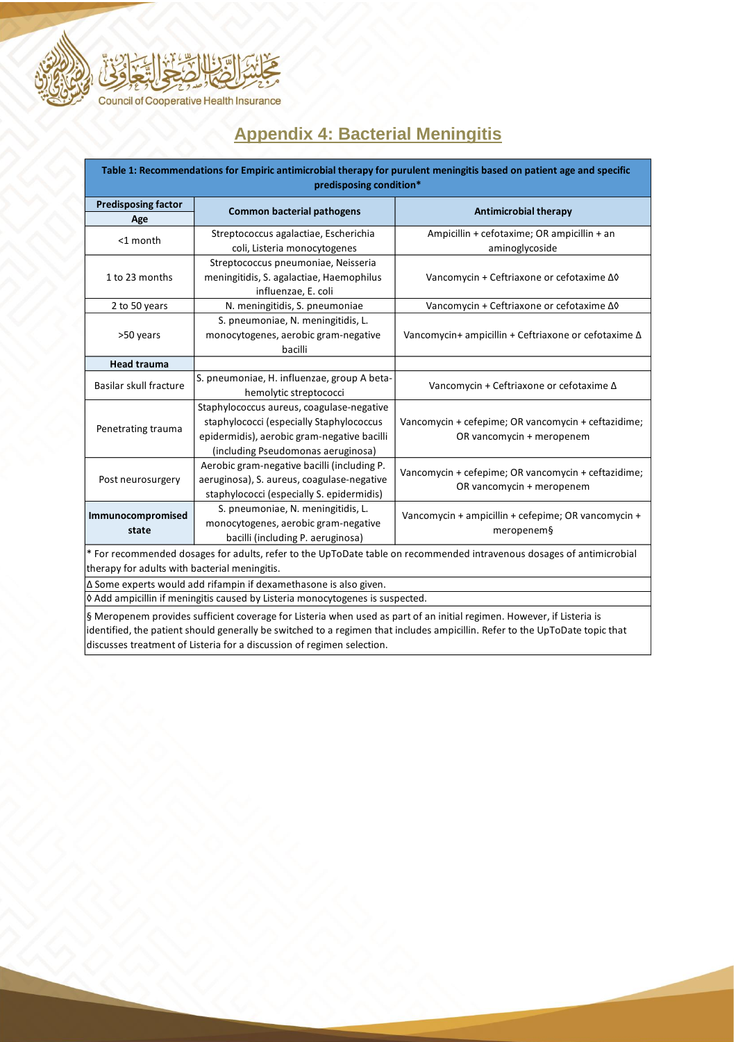

## **Appendix 4: Bacterial Meningitis**

| Table 1: Recommendations for Empiric antimicrobial therapy for purulent meningitis based on patient age and specific<br>predisposing condition* |                                             |                                                                                  |  |  |  |
|-------------------------------------------------------------------------------------------------------------------------------------------------|---------------------------------------------|----------------------------------------------------------------------------------|--|--|--|
| <b>Predisposing factor</b>                                                                                                                      | <b>Common bacterial pathogens</b>           | <b>Antimicrobial therapy</b>                                                     |  |  |  |
| Age                                                                                                                                             | Streptococcus agalactiae, Escherichia       | Ampicillin + cefotaxime; OR ampicillin + an                                      |  |  |  |
| <1 month                                                                                                                                        | coli, Listeria monocytogenes                | aminoglycoside                                                                   |  |  |  |
|                                                                                                                                                 | Streptococcus pneumoniae, Neisseria         |                                                                                  |  |  |  |
| 1 to 23 months                                                                                                                                  | meningitidis, S. agalactiae, Haemophilus    | Vancomycin + Ceftriaxone or cefotaxime ∆0                                        |  |  |  |
|                                                                                                                                                 | influenzae, E. coli                         |                                                                                  |  |  |  |
| 2 to 50 years                                                                                                                                   | N. meningitidis, S. pneumoniae              | Vancomycin + Ceftriaxone or cefotaxime ∆0                                        |  |  |  |
|                                                                                                                                                 | S. pneumoniae, N. meningitidis, L.          | Vancomycin+ ampicillin + Ceftriaxone or cefotaxime ∆                             |  |  |  |
| >50 years                                                                                                                                       | monocytogenes, aerobic gram-negative        |                                                                                  |  |  |  |
|                                                                                                                                                 | bacilli                                     |                                                                                  |  |  |  |
| <b>Head trauma</b>                                                                                                                              |                                             |                                                                                  |  |  |  |
| Basilar skull fracture                                                                                                                          | S. pneumoniae, H. influenzae, group A beta- | Vancomycin + Ceftriaxone or cefotaxime ∆                                         |  |  |  |
|                                                                                                                                                 | hemolytic streptococci                      |                                                                                  |  |  |  |
| Penetrating trauma                                                                                                                              | Staphylococcus aureus, coagulase-negative   | Vancomycin + cefepime; OR vancomycin + ceftazidime;<br>OR vancomycin + meropenem |  |  |  |
|                                                                                                                                                 | staphylococci (especially Staphylococcus    |                                                                                  |  |  |  |
|                                                                                                                                                 | epidermidis), aerobic gram-negative bacilli |                                                                                  |  |  |  |
|                                                                                                                                                 | (including Pseudomonas aeruginosa)          |                                                                                  |  |  |  |
|                                                                                                                                                 | Aerobic gram-negative bacilli (including P. | Vancomycin + cefepime; OR vancomycin + ceftazidime;<br>OR vancomycin + meropenem |  |  |  |
| Post neurosurgery                                                                                                                               | aeruginosa), S. aureus, coagulase-negative  |                                                                                  |  |  |  |
|                                                                                                                                                 | staphylococci (especially S. epidermidis)   |                                                                                  |  |  |  |
| Immunocompromised<br>state                                                                                                                      | S. pneumoniae, N. meningitidis, L.          | Vancomycin + ampicillin + cefepime; OR vancomycin +<br>meropenem§                |  |  |  |
|                                                                                                                                                 | monocytogenes, aerobic gram-negative        |                                                                                  |  |  |  |
|                                                                                                                                                 | bacilli (including P. aeruginosa)           |                                                                                  |  |  |  |
| * For recommended dosages for adults, refer to the UpToDate table on recommended intravenous dosages of antimicrobial                           |                                             |                                                                                  |  |  |  |
| therapy for adults with bacterial meningitis.                                                                                                   |                                             |                                                                                  |  |  |  |
| ∆ Some experts would add rifampin if dexamethasone is also given.                                                                               |                                             |                                                                                  |  |  |  |
| O Add ampicillin if meningitis caused by Listeria monocytogenes is suspected.                                                                   |                                             |                                                                                  |  |  |  |
| § Meropenem provides sufficient coverage for Listeria when used as part of an initial regimen. However, if Listeria is                          |                                             |                                                                                  |  |  |  |

identified, the patient should generally be switched to a regimen that includes ampicillin. Refer to the UpToDate topic that discusses treatment of Listeria for a discussion of regimen selection.